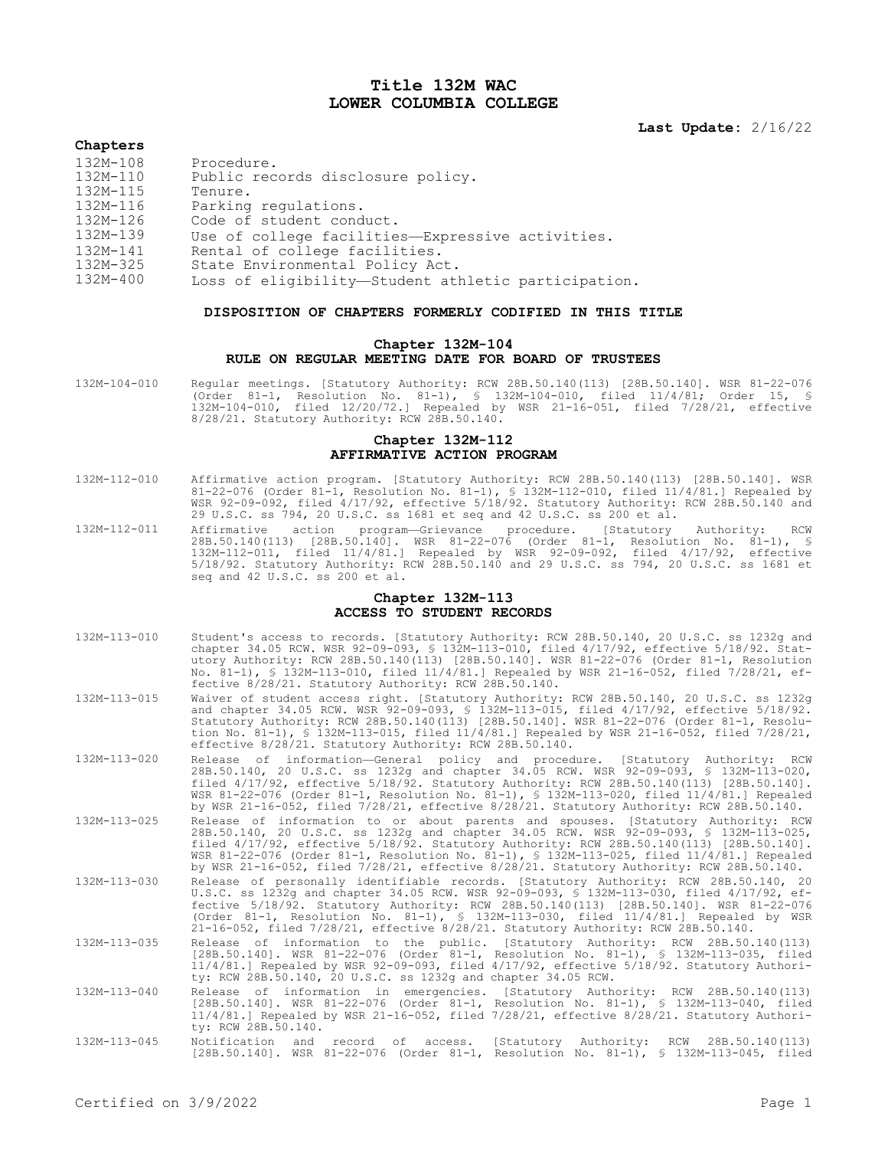# **Title 132M WAC LOWER COLUMBIA COLLEGE**

**Last Update:** 2/16/22

#### **Chapters**

| 132M-110 | Public records disclosure policy.                   |
|----------|-----------------------------------------------------|
| 132M-115 | Tenure.                                             |
| 132M-116 | Parking regulations.                                |
| 132M-126 | Code of student conduct.                            |
| 132M-139 | Use of college facilities—Expressive activities.    |
| 132M-141 | Rental of college facilities.                       |
| 132M-325 | State Environmental Policy Act.                     |
| 132M-400 | Loss of eligibility—Student athletic participation. |

## **DISPOSITION OF CHAPTERS FORMERLY CODIFIED IN THIS TITLE**

## **Chapter 132M-104 RULE ON REGULAR MEETING DATE FOR BOARD OF TRUSTEES**

132M-104-010 Regular meetings. [Statutory Authority: RCW 28B.50.140(113) [28B.50.140]. WSR 81-22-076 (Order 81-1, Resolution No. 81-1), § 132M-104-010, filed 11/4/81; Order 15, § 132M-104-010, filed 12/20/72.] Repealed by WSR 21-16-051, filed 7/28/21, effective 8/28/21. Statutory Authority: RCW 28B.50.140.

#### **Chapter 132M-112 AFFIRMATIVE ACTION PROGRAM**

- 132M-112-010 Affirmative action program. [Statutory Authority: RCW 28B.50.140(113) [28B.50.140]. WSR 81-22-076 (Order 81-1, Resolution No. 81-1), § 132M-112-010, filed 11/4/81.] Repealed by WSR 92-09-092, filed 4/17/92, effective 5/18/92. Statutory Authority: RCW 28B.50.140 and 29 U.S.C. ss 794, 20 U.S.C. ss 1681 et seq and 42 U.S.C. ss 200 et al.
- 132M-112-011 Affirmative action program—Grievance procedure. [Statutory Authority: RCW 28B.50.140(113) [28B.50.140]. WSR 81-22-076 (Order 81-1, Resolution No. 81-1), § 132M-112-011, filed 11/4/81.] Repealed by WSR 92-09-092, filed 4/17/92, effective 5/18/92. Statutory Authority: RCW 28B.50.140 and 29 U.S.C. ss 794, 20 U.S.C. ss 1681 et seq and 42 U.S.C. ss 200 et al.

## **Chapter 132M-113 ACCESS TO STUDENT RECORDS**

- 132M-113-010 Student's access to records. [Statutory Authority: RCW 28B.50.140, 20 U.S.C. ss 1232g and chapter 34.05 RCW. WSR 92-09-093, § 132M-113-010, filed 4/17/92, effective 5/18/92. Statutory Authority: RCW 28B.50.140(113) [28B.50.140]. WSR 81-22-076 (Order 81-1, Resolution No. 81-1), § 132M-113-010, filed 11/4/81.] Repealed by WSR 21-16-052, filed 7/28/21, effective 8/28/21. Statutory Authority: RCW 28B.50.140.
- 132M-113-015 Waiver of student access right. [Statutory Authority: RCW 28B.50.140, 20 U.S.C. ss 1232g and chapter 34.05 RCW. WSR 92-09-093, § 132M-113-015, filed 4/17/92, effective 5/18/92. Statutory Authority: RCW 28B.50.140(113) [28B.50.140]. WSR 81-22-076 (Order 81-1, Resolution No. 81-1), § 132M-113-015, filed 11/4/81.] Repealed by WSR 21-16-052, filed 7/28/21, effective 8/28/21. Statutory Authority: RCW 28B.50.140.
- 132M-113-020 Release of information—General policy and procedure. [Statutory Authority: RCW 28B.50.140, 20 U.S.C. ss 1232g and chapter 34.05 RCW. WSR 92-09-093, § 132M-113-020, filed 4/17/92, effective 5/18/92. Statutory Authority: RCW 28B.50.140(113) [28B.50.140]. WSR 81-22-076 (Order 81-1, Resolution No. 81-1), § 132M-113-020, filed 11/4/81.] Repealed by WSR 21-16-052, filed 7/28/21, effective 8/28/21. Statutory Authority: RCW 28B.50.140.
- 132M-113-025 Release of information to or about parents and spouses. [Statutory Authority: RCW 28B.50.140, 20 U.S.C. ss 1232g and chapter 34.05 RCW. WSR 92-09-093, § 132M-113-025, filed 4/17/92, effective 5/18/92. Statutory Authority: RCW 28B.50.140(113) [28B.50.140]. WSR 81-22-076 (Order 81-1, Resolution No. 81-1), § 132M-113-025, filed 11/4/81.] Repealed by WSR 21-16-052, filed 7/28/21, effective 8/28/21. Statutory Authority: RCW 28B.50.140.
- 132M-113-030 Release of personally identifiable records. [Statutory Authority: RCW 28B.50.140, 20 U.S.C. ss 1232g and chapter 34.05 RCW. WSR 92-09-093, § 132M-113-030, filed 4/17/92, effective 5/18/92. Statutory Authority: RCW 28B.50.140(113) [28B.50.140]. WSR 81-22-076 (Order 81-1, Resolution No. 81-1), § 132M-113-030, filed 11/4/81.] Repealed by WSR 21-16-052, filed 7/28/21, effective 8/28/21. Statutory Authority: RCW 28B.50.140.
- 132M-113-035 Release of information to the public. [Statutory Authority: RCW 28B.50.140(113) [28B.50.140]. WSR 81-22-076 (Order 81-1, Resolution No. 81-1), § 132M-113-035, filed<br>11/4/81.] Repealed by WSR 92-09-093, filed 4/17/92, effective 5/18/92. Statutory Authori-<br>ty: RCW 28B.50.140, 20 U.S.C. ss 1232g and chap
- 132M-113-040 Release of information in emergencies. [Statutory Authority: RCW 28B.50.140(113) [28B.50.140]. WSR 81-22-076 (Order 81-1, Resolution No. 81-1), § 132M-113-040, filed 11/4/81.] Repealed by WSR 21-16-052, filed 7/28/21, effective 8/28/21. Statutory Authority: RCW 28B.50.140.
- 132M-113-045 Notification and record of access. [Statutory Authority: RCW 28B.50.140(113) [28B.50.140]. WSR 81-22-076 (Order 81-1, Resolution No. 81-1), § 132M-113-045, filed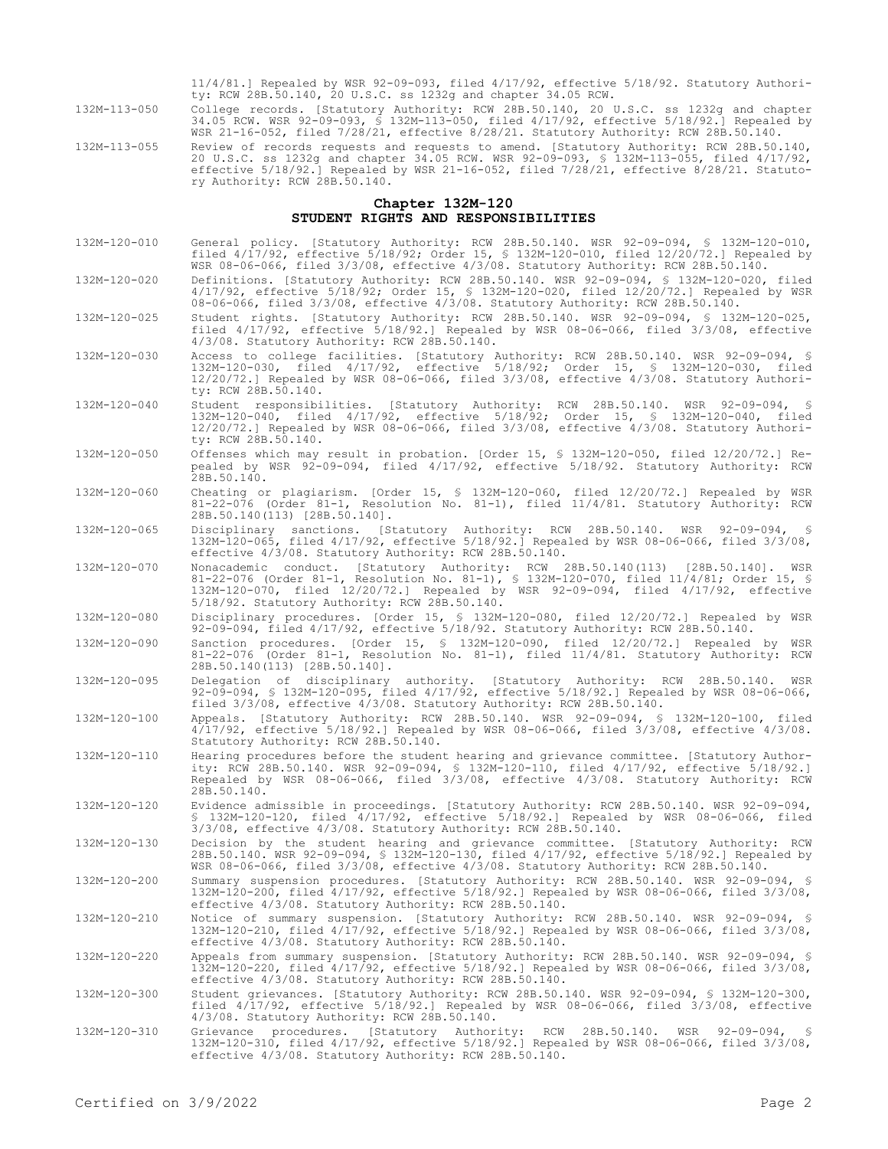11/4/81.] Repealed by WSR 92-09-093, filed 4/17/92, effective 5/18/92. Statutory Authority: RCW 28B.50.140, 20 U.S.C. ss 1232g and chapter 34.05 RCW.

132M-113-050 College records. [Statutory Authority: RCW 28B.50.140, 20 U.S.C. ss 1232g and chapter 34.05 RCW. WSR 92-09-093, § 132M-113-050, filed 4/17/92, effective 5/18/92.] Repealed by WSR 21-16-052, filed 7/28/21, effective 8/28/21. Statutory Authority: RCW 28B.50.140.

132M-113-055 Review of records requests and requests to amend. [Statutory Authority: RCW 28B.50.140, 20 U.S.C. ss 1232g and chapter 34.05 RCW. WSR 92-09-093, § 132M-113-055, filed 4/17/92, effective 5/18/92.] Repealed by WSR 21-16-052, filed 7/28/21, effective 8/28/21. Statutory Authority: RCW 28B.50.140.

## **Chapter 132M-120 STUDENT RIGHTS AND RESPONSIBILITIES**

132M-120-010 General policy. [Statutory Authority: RCW 28B.50.140. WSR 92-09-094, § 132M-120-010, filed 4/17/92, effective 5/18/92; Order 15, § 132M-120-010, filed 12/20/72.] Repealed by WSR 08-06-066, filed 3/3/08, effective 4/3/08. Statutory Authority: RCW 28B.50.140.

132M-120-020 Definitions. [Statutory Authority: RCW 28B.50.140. WSR 92-09-094, § 132M-120-020, filed 4/17/92, effective 5/18/92; Order 15, § 132M-120-020, filed 12/20/72.] Repealed by WSR 08-06-066, filed 3/3/08, effective 4/3/08. Statutory Authority: RCW 28B.50.140.

132M-120-025 Student rights. [Statutory Authority: RCW 28B.50.140. WSR 92-09-094, § 132M-120-025, filed 4/17/92, effective 5/18/92.] Repealed by WSR 08-06-066, filed 3/3/08, effective 4/3/08. Statutory Authority: RCW 28B.50.140.

132M-120-030 Access to college facilities. [Statutory Authority: RCW 28B.50.140. WSR 92-09-094, § 132M-120-030, filed 4/17/92, effective 5/18/92; Order 15, § 132M-120-030, filed 12/20/72.] Repealed by WSR 08-06-066, filed 3/3/08, effective 4/3/08. Statutory Authority: RCW 28B.50.140.

- 132M-120-040 Student responsibilities. [Statutory Authority: RCW 28B.50.140. WSR 92-09-094, § 132M-120-040, filed 4/17/92, effective 5/18/92; Order 15, § 132M-120-040, filed 12/20/72.] Repealed by WSR 08-06-066, filed 3/3/08, effective 4/3/08. Statutory Authority: RCW 28B.50.140.
- 132M-120-050 Offenses which may result in probation. [Order 15, § 132M-120-050, filed 12/20/72.] Repealed by WSR 92-09-094, filed 4/17/92, effective 5/18/92. Statutory Authority: RCW 28B.50.140.
- 132M-120-060 Cheating or plagiarism. [Order 15, § 132M-120-060, filed 12/20/72.] Repealed by WSR 81-22-076 (Order 81-1, Resolution No. 81-1), filed 11/4/81. Statutory Authority: RCW 28B.50.140(113) [28B.50.140].

132M-120-065 Disciplinary sanctions. [Statutory Authority: RCW 28B.50.140. WSR 92-09-094, § 132M-120-065, filed 4/17/92, effective 5/18/92.] Repealed by WSR 08-06-066, filed 3/3/08, effective 4/3/08. Statutory Authority: RCW 28B.50.140.

- 132M-120-070 Nonacademic conduct. [Statutory Authority: RCW 28B.50.140(113) [28B.50.140]. WSR 81-22-076 (Order 81-1, Resolution No. 81-1), § 132M-120-070, filed 11/4/81; Order 15, § 132M-120-070, filed 12/20/72.] Repealed by WSR 92-09-094, filed 4/17/92, effective 5/18/92. Statutory Authority: RCW 28B.50.140.
- 132M-120-080 Disciplinary procedures. [Order 15, § 132M-120-080, filed 12/20/72.] Repealed by WSR 92-09-094, filed 4/17/92, effective 5/18/92. Statutory Authority: RCW 28B.50.140.
- 132M-120-090 Sanction procedures. [Order 15, § 132M-120-090, filed 12/20/72.] Repealed by WSR 81-22-076 (Order 81-1, Resolution No. 81-1), filed 11/4/81. Statutory Authority: RCW 28B.50.140(113) [28B.50.140].
- 132M-120-095 Delegation of disciplinary authority. [Statutory Authority: RCW 28B.50.140. WSR 92-09-094, § 132M-120-095, filed 4/17/92, effective 5/18/92.] Repealed by WSR 08-06-066, filed 3/3/08, effective 4/3/08. Statutory Authority: RCW 28B.50.140.
- 132M-120-100 Appeals. [Statutory Authority: RCW 28B.50.140. WSR 92-09-094, § 132M-120-100, filed 4/17/92, effective 5/18/92.] Repealed by WSR 08-06-066, filed 3/3/08, effective 4/3/08. Statutory Authority: RCW 28B.50.140.
- 132M-120-110 Hearing procedures before the student hearing and grievance committee. [Statutory Authority: RCW 28B.50.140. WSR 92-09-094, § 132M-120-110, filed 4/17/92, effective 5/18/92.] Repealed by WSR 08-06-066, filed 3/3/08, effective 4/3/08. Statutory Authority: RCW 28B.50.140.
- 132M-120-120 Evidence admissible in proceedings. [Statutory Authority: RCW 28B.50.140. WSR 92-09-094, § 132M-120-120, filed 4/17/92, effective 5/18/92.] Repealed by WSR 08-06-066, filed 3/3/08, effective 4/3/08. Statutory Authority: RCW 28B.50.140.

132M-120-130 Decision by the student hearing and grievance committee. [Statutory Authority: RCW 28B.50.140. WSR 92-09-094, § 132M-120-130, filed 4/17/92, effective 5/18/92.] Repealed by WSR 08-06-066, filed 3/3/08, effective 4/3/08. Statutory Authority: RCW 28B.50.140.

132M-120-200 Summary suspension procedures. [Statutory Authority: RCW 28B.50.140. WSR 92-09-094, § 132M-120-200, filed 4/17/92, effective 5/18/92.] Repealed by WSR 08-06-066, filed 3/3/08, effective 4/3/08. Statutory Authority: RCW 28B.50.140.

132M-120-210 Notice of summary suspension. [Statutory Authority: RCW 28B.50.140. WSR 92-09-094, § 132M-120-210, filed 4/17/92, effective 5/18/92.] Repealed by WSR 08-06-066, filed 3/3/08, effective 4/3/08. Statutory Authority: RCW 28B.50.140.

132M-120-220 Appeals from summary suspension. [Statutory Authority: RCW 28B.50.140. WSR 92-09-094, § 132M-120-220, filed 4/17/92, effective 5/18/92.] Repealed by WSR 08-06-066, filed 3/3/08, effective 4/3/08. Statutory Authority: RCW 28B.50.140.

132M-120-300 Student grievances. [Statutory Authority: RCW 28B.50.140. WSR 92-09-094, § 132M-120-300, filed 4/17/92, effective 5/18/92.] Repealed by WSR 08-06-066, filed 3/3/08, effective 4/3/08. Statutory Authority: RCW 28B.50.140.

132M-120-310 Grievance procedures. [Statutory Authority: RCW 28B.50.140. WSR 92-09-094, § 132M-120-310, filed 4/17/92, effective 5/18/92.] Repealed by WSR 08-06-066, filed 3/3/08, effective 4/3/08. Statutory Authority: RCW 28B.50.140.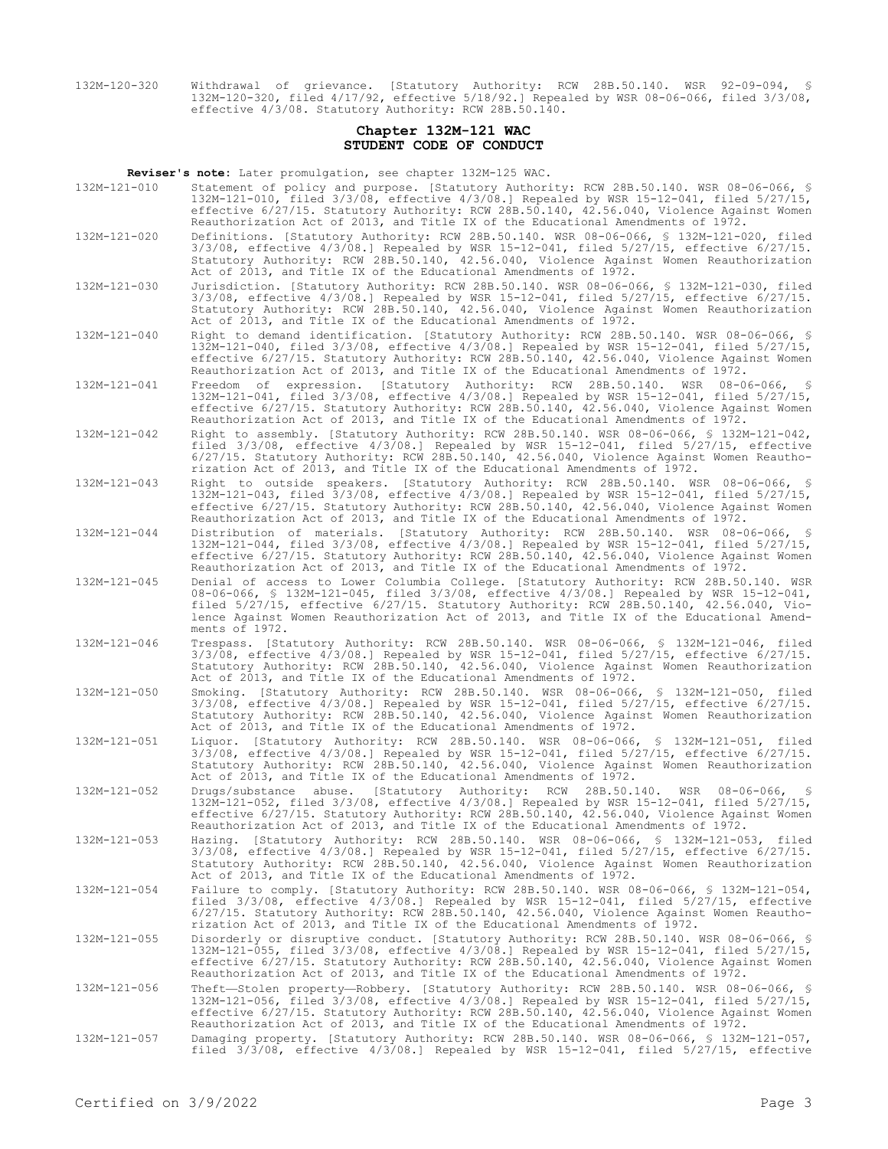132M-120-320 Withdrawal of grievance. [Statutory Authority: RCW 28B.50.140. WSR 92-09-094, § 132M-120-320, filed 4/17/92, effective 5/18/92.] Repealed by WSR 08-06-066, filed 3/3/08, effective 4/3/08. Statutory Authority: RCW 28B.50.140.

# **Chapter 132M-121 WAC STUDENT CODE OF CONDUCT**

**Reviser's note:** Later promulgation, see chapter 132M-125 WAC.

- 132M-121-010 Statement of policy and purpose. [Statutory Authority: RCW 28B.50.140. WSR 08-06-066, § 132M-121-010, filed 3/3/08, effective 4/3/08.] Repealed by WSR 15-12-041, filed 5/27/15, effective 6/27/15. Statutory Authority: RCW 28B.50.140, 42.56.040, Violence Against Women Reauthorization Act of 2013, and Title IX of the Educational Amendments of 1972. 132M-121-020 Definitions. [Statutory Authority: RCW 28B.50.140. WSR 08-06-066, § 132M-121-020, filed
	- 3/3/08, effective 4/3/08.] Repealed by WSR 15-12-041, filed 5/27/15, effective 6/27/15. Statutory Authority: RCW 28B.50.140, 42.56.040, Violence Against Women Reauthorization Act of 2013, and Title IX of the Educational Amendments of 1972.
- 132M-121-030 Jurisdiction. [Statutory Authority: RCW 28B.50.140. WSR 08-06-066, § 132M-121-030, filed 3/3/08, effective 4/3/08.] Repealed by WSR 15-12-041, filed 5/27/15, effective 6/27/15. Statutory Authority: RCW 28B.50.140, 42.56.040, Violence Against Women Reauthorization Act of 2013, and Title IX of the Educational Amendments of 1972.

132M-121-040 Right to demand identification. [Statutory Authority: RCW 28B.50.140. WSR 08-06-066, § 132M-121-040, filed 3/3/08, effective 4/3/08.] Repealed by WSR 15-12-041, filed 5/27/15, effective 6/27/15. Statutory Authority: RCW 28B.50.140, 42.56.040, Violence Against Women Reauthorization Act of 2013, and Title IX of the Educational Amendments of 1972.

- 132M-121-041 Freedom of expression. [Statutory Authority: RCW 28B.50.140. WSR 08-06-066, § 132M-121-041, filed 3/3/08, effective 4/3/08.] Repealed by WSR 15-12-041, filed 5/27/15, effective 6/27/15. Statutory Authority: RCW 28B.50.140, 42.56.040, Violence Against Women Reauthorization Act of 2013, and Title IX of the Educational Amendments of 1972.
- 132M-121-042 Right to assembly. [Statutory Authority: RCW 28B.50.140. WSR 08-06-066, § 132M-121-042, filed 3/3/08, effective 4/3/08.] Repealed by WSR 15-12-041, filed 5/27/15, effective 6/27/15. Statutory Authority: RCW 28B.50.140, 42.56.040, Violence Against Women Reauthorization Act of 2013, and Title IX of the Educational Amendments of 1972.
- 132M-121-043 Right to outside speakers. [Statutory Authority: RCW 28B.50.140. WSR 08-06-066, § 132M-121-043, filed 3/3/08, effective 4/3/08.] Repealed by WSR 15-12-041, filed 5/27/15, effective 6/27/15. Statutory Authority: RCW 28B.50.140, 42.56.040, Violence Against Women Reauthorization Act of 2013, and Title IX of the Educational Amendments of 1972.
- 132M-121-044 Distribution of materials. [Statutory Authority: RCW 28B.50.140. WSR 08-06-066, § 132M-121-044, filed 3/3/08, effective 4/3/08.] Repealed by WSR 15-12-041, filed 5/27/15, effective 6/27/15. Statutory Authority: RCW 28B.50.140, 42.56.040, Violence Against Women Reauthorization Act of 2013, and Title IX of the Educational Amendments of 1972.
- 132M-121-045 Denial of access to Lower Columbia College. [Statutory Authority: RCW 28B.50.140. WSR 08-06-066, § 132M-121-045, filed 3/3/08, effective 4/3/08.] Repealed by WSR 15-12-041, filed 5/27/15, effective 6/27/15. Statutory Authority: RCW 28B.50.140, 42.56.040, Violence Against Women Reauthorization Act of 2013, and Title IX of the Educational Amendments of 1972.
- 132M-121-046 Trespass. [Statutory Authority: RCW 28B.50.140. WSR 08-06-066, § 132M-121-046, filed 3/3/08, effective 4/3/08.] Repealed by WSR 15-12-041, filed 5/27/15, effective 6/27/15. Statutory Authority: RCW 28B.50.140, 42.56.040, Violence Against Women Reauthorization Act of 2013, and Title IX of the Educational Amendments of 1972.
- 132M-121-050 Smoking. [Statutory Authority: RCW 28B.50.140. WSR 08-06-066, § 132M-121-050, filed 3/3/08, effective 4/3/08.] Repealed by WSR 15-12-041, filed 5/27/15, effective 6/27/15. Statutory Authority: RCW 28B.50.140, 42.56.040, Violence Against Women Reauthorization Act of 2013, and Title IX of the Educational Amendments of 1972.
- 132M-121-051 Liquor. [Statutory Authority: RCW 28B.50.140. WSR 08-06-066, § 132M-121-051, filed 3/3/08, effective 4/3/08.] Repealed by WSR 15-12-041, filed 5/27/15, effective 6/27/15. Statutory Authority: RCW 28B.50.140, 42.56.040, Violence Against Women Reauthorization Act of 2013, and Title IX of the Educational Amendments of 1972.
- 132M-121-052 Drugs/substance abuse. [Statutory Authority: RCW 28B.50.140. WSR 08-06-066, § 132M-121-052, filed 3/3/08, effective 4/3/08.] Repealed by WSR 15-12-041, filed 5/27/15, effective 6/27/15. Statutory Authority: RCW 28B.50.140, 42.56.040, Violence Against Women Reauthorization Act of 2013, and Title IX of the Educational Amendments of 1972.
- 132M-121-053 Hazing. [Statutory Authority: RCW 28B.50.140. WSR 08-06-066, § 132M-121-053, filed 3/3/08, effective 4/3/08.] Repealed by WSR 15-12-041, filed 5/27/15, effective 6/27/15. Statutory Authority: RCW 28B.50.140, 42.56.040, Violence Against Women Reauthorization Act of 2013, and Title IX of the Educational Amendments of 1972.
- 132M-121-054 Failure to comply. [Statutory Authority: RCW 28B.50.140. WSR 08-06-066, § 132M-121-054, filed 3/3/08, effective 4/3/08.] Repealed by WSR 15-12-041, filed 5/27/15, effective 6/27/15. Statutory Authority: RCW 28B.50.140, 42.56.040, Violence Against Women Reauthorization Act of 2013, and Title IX of the Educational Amendments of 1972.
- 132M-121-055 Disorderly or disruptive conduct. [Statutory Authority: RCW 28B.50.140. WSR 08-06-066, § 132M-121-055, filed 3/3/08, effective 4/3/08.] Repealed by WSR 15-12-041, filed 5/27/15,<br>effective 6/27/15. Statutory Authority: RCW 28B.50.140, 42.56.040, Violence Against Women<br>Reauthorization Act of 2013, and Title IX o
- 132M-121-056 Theft—Stolen property—Robbery. [Statutory Authority: RCW 28B.50.140. WSR 08-06-066, § 132M-121-056, filed 3/3/08, effective 4/3/08.] Repealed by WSR 15-12-041, filed 5/27/15, effective 6/27/15. Statutory Authority: RCW 28B.50.140, 42.56.040, Violence Against Women Reauthorization Act of 2013, and Title IX of the Educational Amendments of 1972.
- 132M-121-057 Damaging property. [Statutory Authority: RCW 28B.50.140. WSR 08-06-066, § 132M-121-057, filed 3/3/08, effective 4/3/08.] Repealed by WSR 15-12-041, filed 5/27/15, effective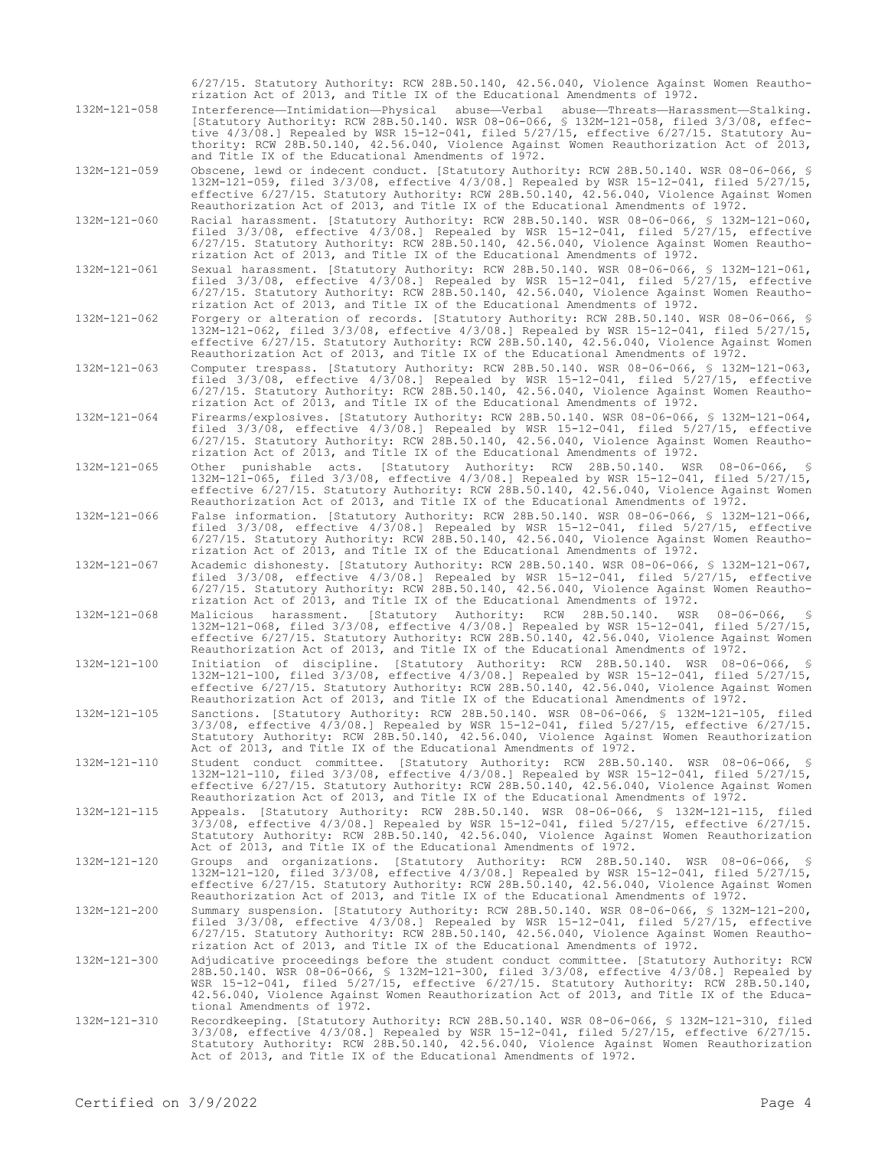|              | 6/27/15. Statutory Authority: RCW 28B.50.140, 42.56.040, Violence Against Women Reautho-<br>rization Act of 2013, and Title IX of the Educational Amendments of 1972.                                                                                                                                                                                                                                                         |
|--------------|-------------------------------------------------------------------------------------------------------------------------------------------------------------------------------------------------------------------------------------------------------------------------------------------------------------------------------------------------------------------------------------------------------------------------------|
| 132M-121-058 | Interference-Intimidation-Physical abuse-Verbal abuse-Threats-Harassment-Stalking.<br>[Statutory Authority: RCW 28B.50.140. WSR 08-06-066, § 132M-121-058, filed 3/3/08, effec-<br>tive 4/3/08.] Repealed by WSR 15-12-041, filed 5/27/15, effective 6/27/15. Statutory Au-<br>thority: RCW 28B.50.140, 42.56.040, Violence Against Women Reauthorization Act of 2013,<br>and Title IX of the Educational Amendments of 1972. |
| 132M-121-059 | Obscene, lewd or indecent conduct. [Statutory Authority: RCW 28B.50.140. WSR 08-06-066, §<br>132M-121-059, filed 3/3/08, effective 4/3/08.] Repealed by WSR 15-12-041, filed 5/27/15,<br>effective 6/27/15. Statutory Authority: RCW 28B.50.140, 42.56.040, Violence Against Women<br>Reauthorization Act of 2013, and Title IX of the Educational Amendments of 1972.                                                        |
| 132M-121-060 | Racial harassment. [Statutory Authority: RCW 28B.50.140. WSR 08-06-066, § 132M-121-060,<br>filed 3/3/08, effective 4/3/08.] Repealed by WSR 15-12-041, filed 5/27/15, effective<br>6/27/15. Statutory Authority: RCW 28B.50.140, 42.56.040, Violence Against Women Reautho-<br>rization Act of 2013, and Title IX of the Educational Amendments of 1972.                                                                      |
| 132M-121-061 | Sexual harassment. [Statutory Authority: RCW 28B.50.140. WSR 08-06-066, § 132M-121-061,<br>filed $3/3/08$ , effective $4/3/08$ . Repealed by WSR 15-12-041, filed $5/27/15$ , effective<br>6/27/15. Statutory Authority: RCW 28B.50.140, 42.56.040, Violence Against Women Reautho-<br>rization Act of 2013, and Title IX of the Educational Amendments of 1972.                                                              |
| 132M-121-062 | Forgery or alteration of records. [Statutory Authority: RCW 28B.50.140. WSR 08-06-066, §<br>132M-121-062, filed $3/3/08$ , effective $4/3/08$ .] Repealed by WSR 15-12-041, filed $5/27/15$ ,<br>effective 6/27/15. Statutory Authority: RCW 28B.50.140, 42.56.040, Violence Against Women<br>Reauthorization Act of 2013, and Title IX of the Educational Amendments of 1972.                                                |
| 132M-121-063 | Computer trespass. [Statutory Authority: RCW 28B.50.140. WSR 08-06-066, § 132M-121-063,<br>filed $3/3/08$ , effective $4/3/08$ .] Repealed by WSR 15-12-041, filed $5/27/15$ , effective<br>6/27/15. Statutory Authority: RCW 28B.50.140, 42.56.040, Violence Against Women Reautho-<br>rization Act of 2013, and Title IX of the Educational Amendments of 1972.                                                             |
| 132M-121-064 | Firearms/explosives. [Statutory Authority: RCW 28B.50.140. WSR 08-06-066, § 132M-121-064,<br>filed $3/3/08$ , effective $4/3/08$ . Repealed by WSR 15-12-041, filed $5/27/15$ , effective<br>6/27/15. Statutory Authority: RCW 28B.50.140, 42.56.040, Violence Against Women Reautho-<br>rization Act of 2013, and Title IX of the Educational Amendments of 1972.                                                            |
| 132M-121-065 | Other punishable acts. [Statutory Authority: RCW 28B.50.140. WSR 08-06-066, §<br>132M-121-065, filed 3/3/08, effective 4/3/08.] Repealed by WSR 15-12-041, filed 5/27/15,<br>effective 6/27/15. Statutory Authority: RCW 28B.50.140, 42.56.040, Violence Against Women<br>Reauthorization Act of 2013, and Title IX of the Educational Amendments of 1972.                                                                    |
| 132M-121-066 | False information. [Statutory Authority: RCW 28B.50.140. WSR 08-06-066, § 132M-121-066,<br>filed $3/3/08$ , effective $4/3/08$ .] Repealed by WSR 15-12-041, filed $5/27/15$ , effective<br>6/27/15. Statutory Authority: RCW 28B.50.140, 42.56.040, Violence Against Women Reautho-<br>rization Act of 2013, and Title IX of the Educational Amendments of 1972.                                                             |
| 132M-121-067 | Academic dishonesty. [Statutory Authority: RCW 28B.50.140. WSR 08-06-066, § 132M-121-067,<br>filed $3/3/08$ , effective $4/3/08$ . Repealed by WSR 15-12-041, filed $5/27/15$ , effective<br>6/27/15. Statutory Authority: RCW 28B.50.140, 42.56.040, Violence Against Women Reautho-<br>rization Act of 2013, and Title IX of the Educational Amendments of 1972.                                                            |
| 132M-121-068 | 28B.50.140.<br>Malicious harassment.<br>[Statutory Authority:<br>RCW<br>WSR<br>08-06-066,<br>- 8<br>132M-121-068, filed $3/3/08$ , effective $4/3/08$ .] Repealed by WSR 15-12-041, filed $5/27/15$ ,<br>effective 6/27/15. Statutory Authority: RCW 28B.50.140, 42.56.040, Violence Against Women<br>Reauthorization Act of 2013, and Title IX of the Educational Amendments of 1972.                                        |
| 132M-121-100 | Initiation of discipline. [Statutory Authority: RCW 28B.50.140. WSR 08-06-066, §<br>132M-121-100, filed 3/3/08, effective 4/3/08.] Repealed by WSR 15-12-041, filed 5/27/15,<br>effective 6/27/15. Statutory Authority: RCW 28B.50.140, 42.56.040, Violence Against Women<br>Reauthorization Act of 2013, and Title IX of the Educational Amendments of 1972.                                                                 |
| 132M-121-105 | Sanctions. [Statutory Authority: RCW 28B.50.140. WSR 08-06-066, \$ 132M-121-105, filed<br>$3/3/08$ , effective $4/3/08$ .] Repealed by WSR 15-12-041, filed $5/27/15$ , effective $6/27/15$ .<br>Statutory Authority: RCW 28B.50.140, 42.56.040, Violence Against Women Reauthorization<br>Act of 2013, and Title IX of the Educational Amendments of 1972.                                                                   |
| 132M-121-110 | Student conduct committee. [Statutory Authority: RCW 28B.50.140. WSR 08-06-066, §<br>132M-121-110, filed 3/3/08, effective 4/3/08.] Repealed by WSR 15-12-041, filed 5/27/15,<br>effective 6/27/15. Statutory Authority: RCW 28B.50.140, 42.56.040, Violence Against Women<br>Reauthorization Act of 2013, and Title IX of the Educational Amendments of 1972.                                                                |
| 132M-121-115 | Appeals. [Statutory Authority: RCW 28B.50.140. WSR 08-06-066, § 132M-121-115, filed<br>$3/3/08$ , effective $4/3/08$ .] Repealed by WSR 15-12-041, filed $5/27/15$ , effective $6/27/15$ .<br>Statutory Authority: RCW 28B.50.140, 42.56.040, Violence Against Women Reauthorization<br>Act of 2013, and Title IX of the Educational Amendments of 1972.                                                                      |
| 132M-121-120 | Groups and organizations. [Statutory Authority: RCW 28B.50.140. WSR 08-06-066, §<br>132M-121-120, filed 3/3/08, effective 4/3/08.] Repealed by WSR 15-12-041, filed 5/27/15,<br>effective 6/27/15. Statutory Authority: RCW 28B.50.140, 42.56.040, Violence Against Women<br>Reauthorization Act of 2013, and Title IX of the Educational Amendments of 1972.                                                                 |
| 132M-121-200 | Summary suspension. [Statutory Authority: RCW 28B.50.140. WSR 08-06-066, \$ 132M-121-200,<br>filed $3/3/08$ , effective $4/3/08$ .] Repealed by WSR 15-12-041, filed $5/27/15$ , effective<br>$6/27/15$ . Statutory Authority: RCW 28B.50.140, 42.56.040, Violence Against Women Reautho-<br>rization Act of 2013, and Title IX of the Educational Amendments of 1972.                                                        |
| 132M-121-300 | Adjudicative proceedings before the student conduct committee. [Statutory Authority: RCW<br>28B.50.140. WSR 08-06-066, § 132M-121-300, filed 3/3/08, effective 4/3/08.] Repealed by<br>WSR $15-12-041$ , filed $5/27/15$ , effective $6/27/15$ . Statutory Authority: RCW 28B.50.140,<br>42.56.040, Violence Against Women Reauthorization Act of 2013, and Title IX of the Educa-<br>tional Amendments of 1972.              |
| 132M-121-310 | Recordkeeping. [Statutory Authority: RCW 28B.50.140. WSR 08-06-066, § 132M-121-310, filed<br>$3/3/08$ , effective $4/3/08$ .] Repealed by WSR 15-12-041, filed $5/27/15$ , effective $6/27/15$ .<br>Statutory Authority: RCW 28B.50.140, 42.56.040, Violence Against Women Reauthorization<br>Act of 2013, and Title IX of the Educational Amendments of 1972.                                                                |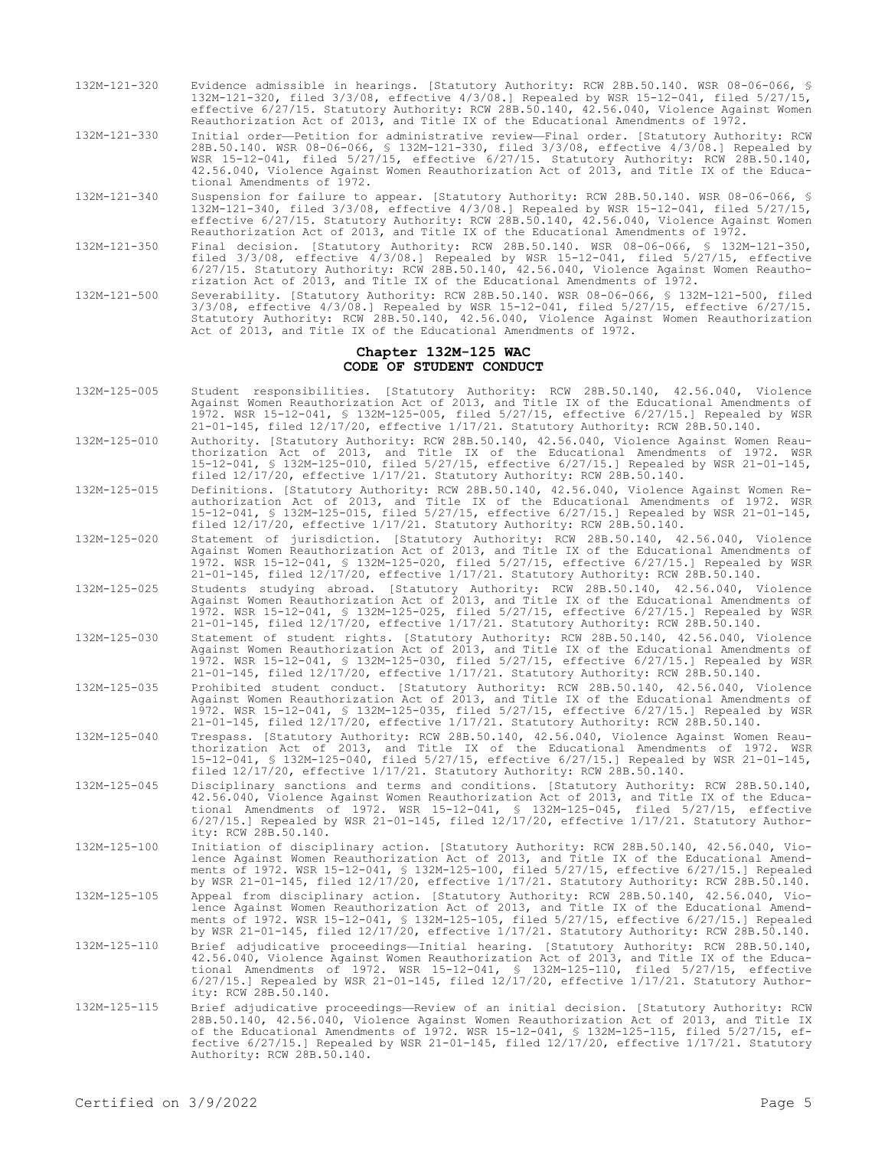- 132M-121-320 Evidence admissible in hearings. [Statutory Authority: RCW 28B.50.140. WSR 08-06-066, § 132M-121-320, filed 3/3/08, effective 4/3/08.] Repealed by WSR 15-12-041, filed 5/27/15, effective 6/27/15. Statutory Authority: RCW 28B.50.140, 42.56.040, Violence Against Women Reauthorization Act of 2013, and Title IX of the Educational Amendments of 1972.
- 132M-121-330 Initial order—Petition for administrative review—Final order. [Statutory Authority: RCW 28B.50.140. WSR 08-06-066, § 132M-121-330, filed 3/3/08, effective 4/3/08.] Repealed by WSR 15-12-041, filed 5/27/15, effective 6/27/15. Statutory Authority: RCW 28B.50.140, 42.56.040, Violence Against Women Reauthorization Act of 2013, and Title IX of the Educational Amendments of 1972.
- 132M-121-340 Suspension for failure to appear. [Statutory Authority: RCW 28B.50.140. WSR 08-06-066, § 132M-121-340, filed 3/3/08, effective 4/3/08.] Repealed by WSR 15-12-041, filed 5/27/15, effective 6/27/15. Statutory Authority: RCW 28B.50.140, 42.56.040, Violence Against Women Reauthorization Act of 2013, and Title IX of the Educational Amendments of 1972.
- 132M-121-350 Final decision. [Statutory Authority: RCW 28B.50.140. WSR 08-06-066, § 132M-121-350, filed 3/3/08, effective 4/3/08.] Repealed by WSR 15-12-041, filed 5/27/15, effective 6/27/15. Statutory Authority: RCW 28B.50.140, 42.56.040, Violence Against Women Reauthorization Act of 2013, and Title IX of the Educational Amendments of 1972.
- 132M-121-500 Severability. [Statutory Authority: RCW 28B.50.140. WSR 08-06-066, § 132M-121-500, filed 3/3/08, effective 4/3/08.] Repealed by WSR 15-12-041, filed 5/27/15, effective 6/27/15. Statutory Authority: RCW 28B.50.140, 42.56.040, Violence Against Women Reauthorization Act of 2013, and Title IX of the Educational Amendments of 1972.

#### **Chapter 132M-125 WAC CODE OF STUDENT CONDUCT**

- 132M-125-005 Student responsibilities. [Statutory Authority: RCW 28B.50.140, 42.56.040, Violence Against Women Reauthorization Act of 2013, and Title IX of the Educational Amendments of 1972. WSR 15-12-041, § 132M-125-005, filed 5/27/15, effective 6/27/15.] Repealed by WSR 21-01-145, filed 12/17/20, effective 1/17/21. Statutory Authority: RCW 28B.50.140.
- 132M-125-010 Authority. [Statutory Authority: RCW 28B.50.140, 42.56.040, Violence Against Women Reauthorization Act of 2013, and Title IX of the Educational Amendments of 1972. WSR 15-12-041, § 132M-125-010, filed 5/27/15, effective 6/27/15.] Repealed by WSR 21-01-145, filed 12/17/20, effective 1/17/21. Statutory Authority: RCW 28B.50.140.
- 132M-125-015 Definitions. [Statutory Authority: RCW 28B.50.140, 42.56.040, Violence Against Women Reauthorization Act of 2013, and Title IX of the Educational Amendments of 1972. WSR 15-12-041, § 132M-125-015, filed 5/27/15, effective 6/27/15.] Repealed by WSR 21-01-145, filed 12/17/20, effective 1/17/21. Statutory Authority: RCW 28B.50.140.
- 132M-125-020 Statement of jurisdiction. [Statutory Authority: RCW 28B.50.140, 42.56.040, Violence Against Women Reauthorization Act of 2013, and Title IX of the Educational Amendments of 1972. WSR 15-12-041, § 132M-125-020, filed 5/27/15, effective 6/27/15.] Repealed by WSR 21-01-145, filed 12/17/20, effective 1/17/21. Statutory Authority: RCW 28B.50.140.
- 132M-125-025 Students studying abroad. [Statutory Authority: RCW 28B.50.140, 42.56.040, Violence Against Women Reauthorization Act of 2013, and Title IX of the Educational Amendments of 1972. WSR 15-12-041, § 132M-125-025, filed 5/27/15, effective 6/27/15.] Repealed by WSR 21-01-145, filed 12/17/20, effective 1/17/21. Statutory Authority: RCW 28B.50.140.
- 132M-125-030 Statement of student rights. [Statutory Authority: RCW 28B.50.140, 42.56.040, Violence Against Women Reauthorization Act of 2013, and Title IX of the Educational Amendments of 1972. WSR 15-12-041, § 132M-125-030, filed 5/27/15, effective 6/27/15.] Repealed by WSR 21-01-145, filed 12/17/20, effective 1/17/21. Statutory Authority: RCW 28B.50.140.
- 132M-125-035 Prohibited student conduct. [Statutory Authority: RCW 28B.50.140, 42.56.040, Violence Against Women Reauthorization Act of 2013, and Title IX of the Educational Amendments of 1972. WSR 15-12-041, § 132M-125-035, filed 5/27/15, effective 6/27/15.] Repealed by WSR 21-01-145, filed 12/17/20, effective 1/17/21. Statutory Authority: RCW 28B.50.140.
- 132M-125-040 Trespass. [Statutory Authority: RCW 28B.50.140, 42.56.040, Violence Against Women Reauthorization Act of 2013, and Title IX of the Educational Amendments of 1972. WSR 15-12-041, § 132M-125-040, filed 5/27/15, effective 6/27/15.] Repealed by WSR 21-01-145, filed 12/17/20, effective 1/17/21. Statutory Authority: RCW 28B.50.140.
- 132M-125-045 Disciplinary sanctions and terms and conditions. [Statutory Authority: RCW 28B.50.140, 42.56.040, Violence Against Women Reauthorization Act of 2013, and Title IX of the Educational Amendments of 1972. WSR 15-12-041, § 132M-125-045, filed 5/27/15, effective 6/27/15.] Repealed by WSR 21-01-145, filed 12/17/20, effective 1/17/21. Statutory Authority: RCW 28B.50.140.
- 132M-125-100 Initiation of disciplinary action. [Statutory Authority: RCW 28B.50.140, 42.56.040, Violence Against Women Reauthorization Act of 2013, and Title IX of the Educational Amendments of 1972. WSR 15-12-041, § 132M-125-100, filed 5/27/15, effective 6/27/15.] Repealed by WSR 21-01-145, filed 12/17/20, effective 1/17/21. Statutory Authority: RCW 28B.50.140. 132M-125-105 Appeal from disciplinary action. [Statutory Authority: RCW 28B.50.140, 42.56.040, Violence Against Women Reauthorization Act of 2013, and Title IX of the Educational Amend-
- ments of 1972. WSR 15-12-041, § 132M-125-105, filed 5/27/15, effective 6/27/15.] Repealed by WSR 21-01-145, filed 12/17/20, effective 1/17/21. Statutory Authority: RCW 28B.50.140. 132M-125-110 Brief adjudicative proceedings—Initial hearing. [Statutory Authority: RCW 28B.50.140,
- 42.56.040, Violence Against Women Reauthorization Act of 2013, and Title IX of the Educa-tional Amendments of 1972. WSR 15-12-041, § 132M-125-110, filed 5/27/15, effective 6/27/15.] Repealed by WSR 21-01-145, filed 12/17/20, effective 1/17/21. Statutory Authority: RCW 28B.50.140.
- 132M-125-115 Brief adjudicative proceedings—Review of an initial decision. [Statutory Authority: RCW 28B.50.140, 42.56.040, Violence Against Women Reauthorization Act of 2013, and Title IX of the Educational Amendments of 1972. WSR 15-12-041, § 132M-125-115, filed 5/27/15, effective 6/27/15.] Repealed by WSR 21-01-145, filed 12/17/20, effective 1/17/21. Statutory Authority: RCW 28B.50.140.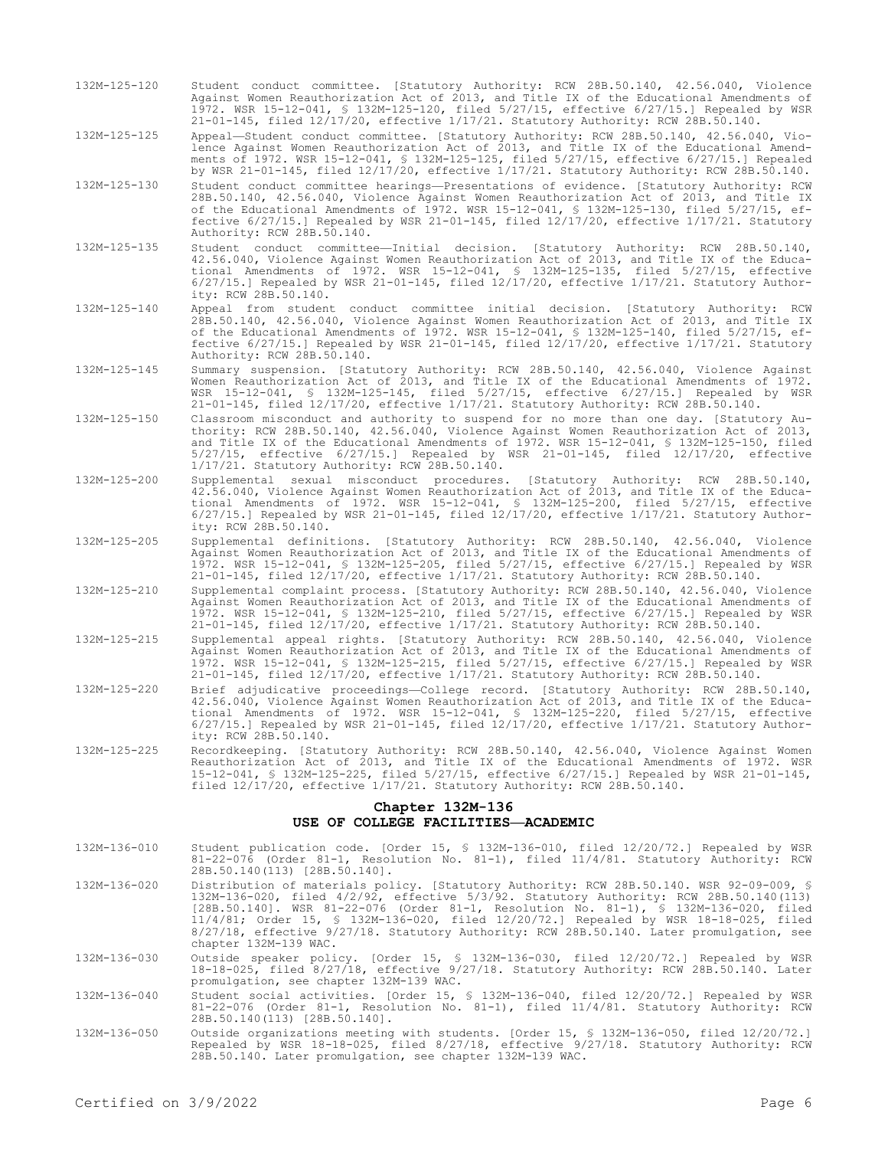132M-125-120 Student conduct committee. [Statutory Authority: RCW 28B.50.140, 42.56.040, Violence Against Women Reauthorization Act of 2013, and Title IX of the Educational Amendments of 1972. WSR 15-12-041, § 132M-125-120, filed 5/27/15, effective 6/27/15.] Repealed by WSR 21-01-145, filed 12/17/20, effective 1/17/21. Statutory Authority: RCW 28B.50.140.

132M-125-125 Appeal—Student conduct committee. [Statutory Authority: RCW 28B.50.140, 42.56.040, Violence Against Women Reauthorization Act of 2013, and Title IX of the Educational Amendments of 1972. WSR 15-12-041, § 132M-125-125, filed 5/27/15, effective 6/27/15.] Repealed by WSR 21-01-145, filed 12/17/20, effective 1/17/21. Statutory Authority: RCW 28B.50.140.

132M-125-130 Student conduct committee hearings—Presentations of evidence. [Statutory Authority: RCW 28B.50.140, 42.56.040, Violence Against Women Reauthorization Act of 2013, and Title IX of the Educational Amendments of 1972. WSR 15-12-041, § 132M-125-130, filed 5/27/15, effective 6/27/15.] Repealed by WSR 21-01-145, filed 12/17/20, effective 1/17/21. Statutory Authority: RCW 28B.50.140.

132M-125-135 Student conduct committee—Initial decision. [Statutory Authority: RCW 28B.50.140, 42.56.040, Violence Against Women Reauthorization Act of 2013, and Title IX of the Educational Amendments of 1972. WSR 15-12-041, § 132M-125-135, filed 5/27/15, effective 6/27/15.] Repealed by WSR 21-01-145, filed 12/17/20, effective 1/17/21. Statutory Authority: RCW 28B.50.140.

- 132M-125-140 Appeal from student conduct committee initial decision. [Statutory Authority: RCW 28B.50.140, 42.56.040, Violence Against Women Reauthorization Act of 2013, and Title IX of the Educational Amendments of 1972. WSR 15-12-041, § 132M-125-140, filed 5/27/15, effective 6/27/15.] Repealed by WSR 21-01-145, filed 12/17/20, effective 1/17/21. Statutory Authority: RCW 28B.50.140.
- 132M-125-145 Summary suspension. [Statutory Authority: RCW 28B.50.140, 42.56.040, Violence Against Women Reauthorization Act of 2013, and Title IX of the Educational Amendments of 1972. WSR 15-12-041, § 132M-125-145, filed 5/27/15, effective 6/27/15.] Repealed by WSR 21-01-145, filed 12/17/20, effective 1/17/21. Statutory Authority: RCW 28B.50.140.
- 132M-125-150 Classroom misconduct and authority to suspend for no more than one day. [Statutory Authority: RCW 28B.50.140, 42.56.040, Violence Against Women Reauthorization Act of 2013, and Title IX of the Educational Amendments of 1972. WSR 15-12-041, § 132M-125-150, filed 5/27/15, effective 6/27/15.] Repealed by WSR 21-01-145, filed 12/17/20, effective 1/17/21. Statutory Authority: RCW 28B.50.140.
- 132M-125-200 Supplemental sexual misconduct procedures. [Statutory Authority: RCW 28B.50.140, 42.56.040, Violence Against Women Reauthorization Act of 2013, and Title IX of the Educational Amendments of 1972. WSR 15-12-041, § 132M-125-200, filed 5/27/15, effective 6/27/15.] Repealed by WSR 21-01-145, filed 12/17/20, effective 1/17/21. Statutory Authority: RCW 28B.50.140.
- 132M-125-205 Supplemental definitions. [Statutory Authority: RCW 28B.50.140, 42.56.040, Violence Against Women Reauthorization Act of 2013, and Title IX of the Educational Amendments of 1972. WSR 15-12-041, § 132M-125-205, filed 5/27/15, effective 6/27/15.] Repealed by WSR 21-01-145, filed 12/17/20, effective 1/17/21. Statutory Authority: RCW 28B.50.140.
- 132M-125-210 Supplemental complaint process. [Statutory Authority: RCW 28B.50.140, 42.56.040, Violence Against Women Reauthorization Act of 2013, and Title IX of the Educational Amendments of 1972. WSR 15-12-041, § 132M-125-210, filed 5/27/15, effective 6/27/15.] Repealed by WSR 21-01-145, filed 12/17/20, effective 1/17/21. Statutory Authority: RCW 28B.50.140.
- 132M-125-215 Supplemental appeal rights. [Statutory Authority: RCW 28B.50.140, 42.56.040, Violence Against Women Reauthorization Act of 2013, and Title IX of the Educational Amendments of 1972. WSR 15-12-041, § 132M-125-215, filed 5/27/15, effective 6/27/15.] Repealed by WSR 21-01-145, filed 12/17/20, effective 1/17/21. Statutory Authority: RCW 28B.50.140.
- 132M-125-220 Brief adjudicative proceedings—College record. [Statutory Authority: RCW 28B.50.140, 42.56.040, Violence Against Women Reauthorization Act of 2013, and Title IX of the Educational Amendments of 1972. WSR 15-12-041, § 132M-125-220, filed 5/27/15, effective 6/27/15.] Repealed by WSR 21-01-145, filed 12/17/20, effective 1/17/21. Statutory Authority: RCW 28B.50.140.
- 132M-125-225 Recordkeeping. [Statutory Authority: RCW 28B.50.140, 42.56.040, Violence Against Women Reauthorization Act of 2013, and Title IX of the Educational Amendments of 1972. WSR 15-12-041, § 132M-125-225, filed 5/27/15, effective 6/27/15.] Repealed by WSR 21-01-145, filed 12/17/20, effective 1/17/21. Statutory Authority: RCW 28B.50.140.

# **Chapter 132M-136 USE OF COLLEGE FACILITIES—ACADEMIC**

132M-136-010 Student publication code. [Order 15, § 132M-136-010, filed 12/20/72.] Repealed by WSR 81-22-076 (Order 81-1, Resolution No. 81-1), filed 11/4/81. Statutory Authority: RCW 28B.50.140(113) [28B.50.140]. 132M-136-020 Distribution of materials policy. [Statutory Authority: RCW 28B.50.140. WSR 92-09-009, § 132M-136-020, filed 4/2/92, effective 5/3/92. Statutory Authority: RCW 28B.50.140(113)

[28B.50.140]. WSR 81-22-076 (Order 81-1, Resolution No. 81-1), § 132M-136-020, filed 11/4/81; Order 15, § 132M-136-020, filed 12/20/72.] Repealed by WSR 18-18-025, filed 8/27/18, effective 9/27/18. Statutory Authority: RCW 28B.50.140. Later promulgation, see chapter 132M-139 WAC.

132M-136-030 Outside speaker policy. [Order 15, § 132M-136-030, filed 12/20/72.] Repealed by WSR 18-18-025, filed 8/27/18, effective 9/27/18. Statutory Authority: RCW 28B.50.140. Later promulgation, see chapter 132M-139 WAC.

132M-136-040 Student social activities. [Order 15, § 132M-136-040, filed 12/20/72.] Repealed by WSR 81-22-076 (Order 81-1, Resolution No. 81-1), filed 11/4/81. Statutory Authority: RCW 28B.50.140(113) [28B.50.140].

132M-136-050 Outside organizations meeting with students. [Order 15, § 132M-136-050, filed 12/20/72.] Repealed by WSR 18-18-025, filed 8/27/18, effective 9/27/18. Statutory Authority: RCW 28B.50.140. Later promulgation, see chapter 132M-139 WAC.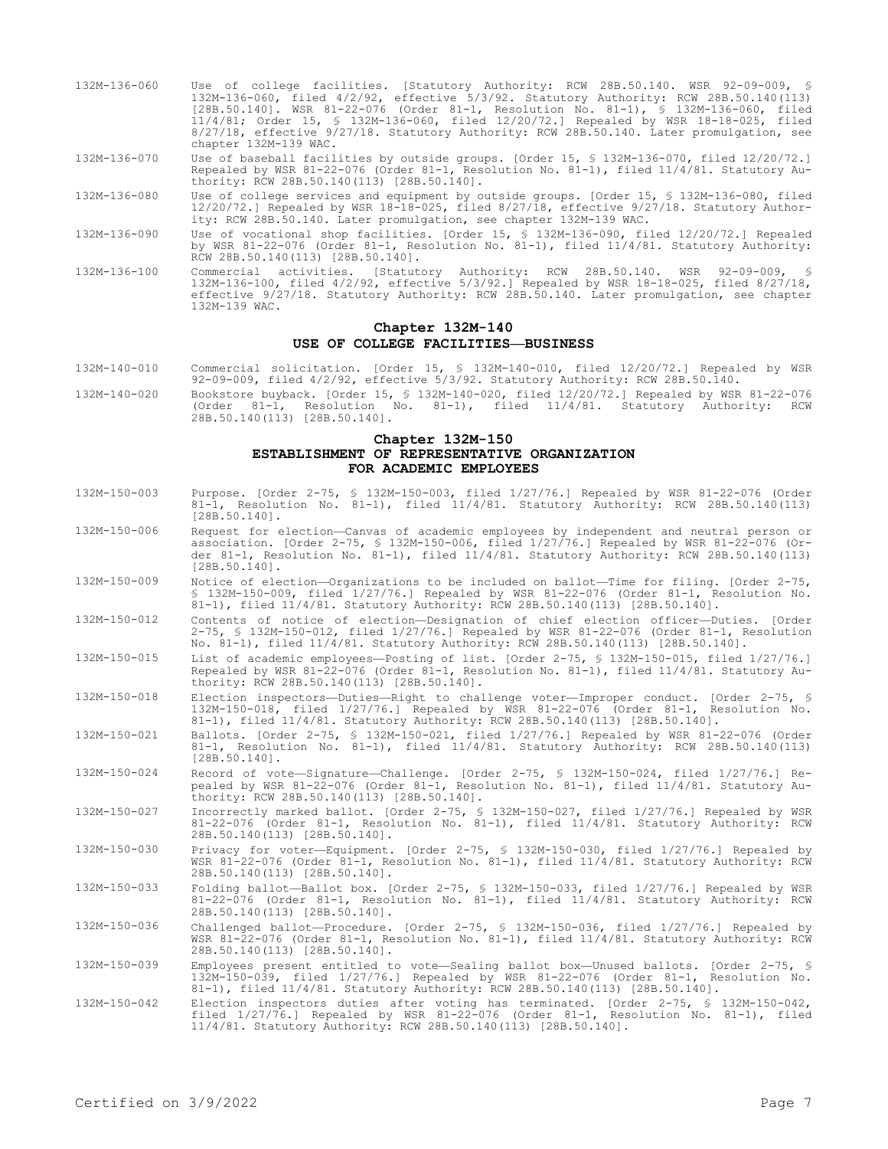- 132M-136-060 Use of college facilities. [Statutory Authority: RCW 28B.50.140. WSR 92-09-009, § 132M-136-060, filed 4/2/92, effective 5/3/92. Statutory Authority: RCW 28B.50.140(113) [28B.50.140]. WSR 81-22-076 (Order 81-1, Resolution No. 81-1), § 132M-136-060, filed 11/4/81; Order 15, § 132M-136-060, filed 12/20/72.] Repealed by WSR 18-18-025, filed 8/27/18, effective 9/27/18. Statutory Authority: RCW 28B.50.140. Later promulgation, see chapter 132M-139 WAC. 132M-136-070 Use of baseball facilities by outside groups. [Order 15, § 132M-136-070, filed 12/20/72.] Repealed by WSR 81-22-076 (Order 81-1, Resolution No. 81-1), filed 11/4/81. Statutory Authority: RCW 28B.50.140(113) [28B.50.140]. 132M-136-080 Use of college services and equipment by outside groups. [Order 15, § 132M-136-080, filed 12/20/72.] Repealed by WSR 18-18-025, filed 8/27/18, effective 9/27/18. Statutory Authority: RCW 28B.50.140. Later promulgation, see chapter 132M-139 WAC. 132M-136-090 Use of vocational shop facilities. [Order 15, § 132M-136-090, filed 12/20/72.] Repealed by WSR 81-22-076 (Order 81-1, Resolution No. 81-1), filed 11/4/81. Statutory Authority: RCW 28B.50.140(113) [28B.50.140].
- 132M-136-100 Commercial activities. [Statutory Authority: RCW 28B.50.140. WSR 92-09-009, § 132M-136-100, filed 4/2/92, effective 5/3/92.] Repealed by WSR 18-18-025, filed 8/27/18, effective 9/27/18. Statutory Authority: RCW 28B.50.140. Later promulgation, see chapter 132M-139 WAC.

# **Chapter 132M-140 USE OF COLLEGE FACILITIES—BUSINESS**

132M-140-010 Commercial solicitation. [Order 15, § 132M-140-010, filed 12/20/72.] Repealed by WSR 92-09-009, filed 4/2/92, effective 5/3/92. Statutory Authority: RCW 28B.50.140. 132M-140-020 Bookstore buyback. [Order 15, § 132M-140-020, filed 12/20/72.] Repealed by WSR 81-22-076 (Order 81-1, Resolution No. 81-1), filed 11/4/81. Statutory Authority: RCW

28B.50.140(113) [28B.50.140].

# **Chapter 132M-150 ESTABLISHMENT OF REPRESENTATIVE ORGANIZATION FOR ACADEMIC EMPLOYEES**

- 132M-150-003 Purpose. [Order 2-75, § 132M-150-003, filed 1/27/76.] Repealed by WSR 81-22-076 (Order 81-1, Resolution No. 81-1), filed 11/4/81. Statutory Authority: RCW 28B.50.140(113) [28B.50.140].
- 132M-150-006 Request for election—Canvas of academic employees by independent and neutral person or association. [Order 2-75, § 132M-150-006, filed 1/27/76.] Repealed by WSR 81-22-076 (Order 81-1, Resolution No. 81-1), filed 11/4/81. Statutory Authority: RCW 28B.50.140(113) [28B.50.140].
- 132M-150-009 Notice of election—Organizations to be included on ballot—Time for filing. [Order 2-75, § 132M-150-009, filed 1/27/76.] Repealed by WSR 81-22-076 (Order 81-1, Resolution No. 81-1), filed 11/4/81. Statutory Authority: RCW 28B.50.140(113) [28B.50.140].
- 132M-150-012 Contents of notice of election—Designation of chief election officer—Duties. [Order 2-75, § 132M-150-012, filed 1/27/76.] Repealed by WSR 81-22-076 (Order 81-1, Resolution No. 81-1), filed 11/4/81. Statutory Authority: RCW 28B.50.140(113) [28B.50.140].

132M-150-015 List of academic employees—Posting of list. [Order 2-75, § 132M-150-015, filed 1/27/76.] Repealed by WSR 81-22-076 (Order 81-1, Resolution No. 81-1), filed 11/4/81. Statutory Authority: RCW 28B.50.140(113) [28B.50.140].

- 132M-150-018 Election inspectors—Duties—Right to challenge voter—Improper conduct. [Order 2-75, § 132M-150-018, filed 1/27/76.] Repealed by WSR 81-22-076 (Order 81-1, Resolution No. 81-1), filed 11/4/81. Statutory Authority: RCW 28B.50.140(113) [28B.50.140].
- 132M-150-021 Ballots. [Order 2-75, § 132M-150-021, filed 1/27/76.] Repealed by WSR 81-22-076 (Order 81-1, Resolution No. 81-1), filed 11/4/81. Statutory Authority: RCW 28B.50.140(113)  $[28B.50.140]$ .
- 132M-150-024 Record of vote—Signature—Challenge. [Order 2-75, § 132M-150-024, filed 1/27/76.] Repealed by WSR 81-22-076 (Order 81-1, Resolution No. 81-1), filed 11/4/81. Statutory Authority: RCW 28B.50.140(113) [28B.50.140].
- 132M-150-027 Incorrectly marked ballot. [Order 2-75, § 132M-150-027, filed 1/27/76.] Repealed by WSR 81-22-076 (Order 81-1, Resolution No. 81-1), filed 11/4/81. Statutory Authority: RCW 28B.50.140(113) [28B.50.140].

132M-150-030 Privacy for voter—Equipment. [Order 2-75, § 132M-150-030, filed 1/27/76.] Repealed by WSR 81-22-076 (Order 81-1, Resolution No. 81-1), filed 11/4/81. Statutory Authority: RCW 28B.50.140(113) [28B.50.140].

132M-150-033 Folding ballot—Ballot box. [Order 2-75, § 132M-150-033, filed 1/27/76.] Repealed by WSR 81-22-076 (Order 81-1, Resolution No. 81-1), filed 11/4/81. Statutory Authority: RCW 28B.50.140(113) [28B.50.140].

132M-150-036 Challenged ballot—Procedure. [Order 2-75, § 132M-150-036, filed 1/27/76.] Repealed by WSR 81-22-076 (Order 81-1, Resolution No. 81-1), filed 11/4/81. Statutory Authority: RCW 28B.50.140(113) [28B.50.140].

132M-150-039 Employees present entitled to vote—Sealing ballot box—Unused ballots. [Order 2-75, § 132M-150-039, filed 1/27/76.] Repealed by WSR 81-22-076 (Order 81-1, Resolution No. 81-1), filed 11/4/81. Statutory Authority: RCW 28B.50.140(113) [28B.50.140].

<sup>132</sup>M-150-042 Election inspectors duties after voting has terminated. [Order 2-75, § 132M-150-042, filed 1/27/76.] Repealed by WSR 81-22-076 (Order 81-1, Resolution No. 81-1), filed 11/4/81. Statutory Authority: RCW 28B.50.140(113) [28B.50.140].